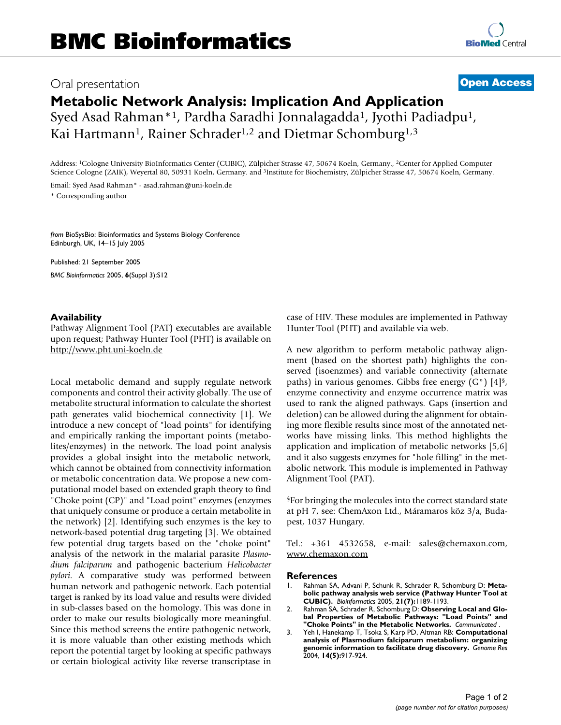## Oral presentation **[Open Access](http://www.biomedcentral.com/info/about/charter/)**

Syed Asad Rahman\*1, Pardha Saradhi Jonnalagadda1, Jyothi Padiadpu1, Kai Hartmann<sup>1</sup>, Rainer Schrader<sup>1,2</sup> and Dietmar Schomburg<sup>1,3</sup>

Address: 1Cologne University BioInformatics Center (CUBIC), Zülpicher Strasse 47, 50674 Koeln, Germany., 2Center for Applied Computer Science Cologne (ZAIK), Weyertal 80, 50931 Koeln, Germany. and 3Institute for Biochemistry, Zülpicher Strasse 47, 50674 Koeln, Germany.

Email: Syed Asad Rahman\* - asad.rahman@uni-koeln.de \* Corresponding author

*from* BioSysBio: Bioinformatics and Systems Biology Conference Edinburgh, UK, 14–15 July 2005

Published: 21 September 2005 *BMC Bioinformatics* 2005, **6**(Suppl 3):S12

Pathway Alignment Tool (PAT) executables are available upon request; Pathway Hunter Tool (PHT) is available on <http://www.pht.uni-koeln.de>

Local metabolic demand and supply regulate network components and control their activity globally. The use of metabolite structural information to calculate the shortest path generates valid biochemical connectivity [1]. We introduce a new concept of "load points" for identifying and empirically ranking the important points (metabolites/enzymes) in the network. The load point analysis provides a global insight into the metabolic network, which cannot be obtained from connectivity information or metabolic concentration data. We propose a new computational model based on extended graph theory to find "Choke point (CP)" and "Load point" enzymes (enzymes that uniquely consume or produce a certain metabolite in the network) [2]. Identifying such enzymes is the key to network-based potential drug targeting [3]. We obtained few potential drug targets based on the "choke point" analysis of the network in the malarial parasite *Plasmodium falciparum* and pathogenic bacterium *Helicobacter pylori*. A comparative study was performed between human network and pathogenic network. Each potential target is ranked by its load value and results were divided in sub-classes based on the homology. This was done in order to make our results biologically more meaningful. Since this method screens the entire pathogenic network, it is more valuable than other existing methods which report the potential target by looking at specific pathways or certain biological activity like reverse transcriptase in

**Availability Availability points are provided pathway case of HIV**. These modules are implemented in Pathway Hunter Tool (PHT) and available via web.

> A new algorithm to perform metabolic pathway alignment (based on the shortest path) highlights the conserved (isoenzmes) and variable connectivity (alternate paths) in various genomes. Gibbs free energy (G°) [4]§, enzyme connectivity and enzyme occurrence matrix was used to rank the aligned pathways. Gaps (insertion and deletion) can be allowed during the alignment for obtaining more flexible results since most of the annotated networks have missing links. This method highlights the application and implication of metabolic networks [5,6] and it also suggests enzymes for "hole filling" in the metabolic network. This module is implemented in Pathway Alignment Tool (PAT).

> §For bringing the molecules into the correct standard state at pH 7, see: ChemAxon Ltd., Máramaros köz 3/a, Budapest, 1037 Hungary.

> Tel.: +361 4532658, e-mail: sales@chemaxon.com, <www.chemaxon.com>

## **References**

- 1. Rahman SA, Advani P, Schunk R, Schrader R, Schomburg D: **Metabolic pathway analysis web service (Pathway Hunter Tool at CUBIC).** *Bioinformatics* 2005, **21(7):**1189-1193.
- 2. Rahman SA, Schrader R, Schomburg D: **Observing Local and Global Properties of Metabolic Pathways: "Load Points" and "Choke Points" in the Metabolic Networks.** *Communicated* .
- 3. Yeh I, Hanekamp T, Tsoka S, Karp PD, Altman RB: **Computational analysis of Plasmodium falciparum metabolism: organizing genomic information to facilitate drug discovery.** *Genome Res* 2004, **14(5):**917-924.